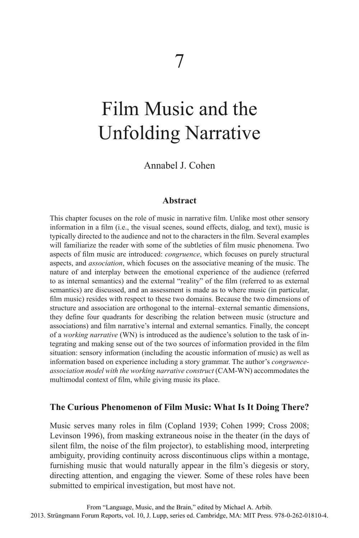# Film Music and the Unfolding Narrative

Annabel J. Cohen

## **Abstract**

This chapter focuses on the role of music in narrative film. Unlike most other sensory information in a film (i.e., the visual scenes, sound effects, dialog, and text), music is typically directed to the audience and not to the characters in the film. Several examples will familiarize the reader with some of the subtleties of film music phenomena. Two aspects of film music are introduced: *congruence*, which focuses on purely structural aspects, and *association*, which focuses on the associative meaning of the music. The nature of and interplay between the emotional experience of the audience (referred to as internal semantics) and the external "reality" of the film (referred to as external semantics) are discussed, and an assessment is made as to where music (in particular, film music) resides with respect to these two domains. Because the two dimensions of structure and association are orthogonal to the internal–external semantic dimensions, they define four quadrants for describing the relation between music (structure and associations) and film narrative's internal and external semantics. Finally, the concept of a *working narrative* (WN) is introduced as the audience's solution to the task of integrating and making sense out of the two sources of information provided in the film situation: sensory information (including the acoustic information of music) as well as information based on experience including a story grammar. The author's *congruenceassociation model with the working narrative construct* (CAM-WN) accommodates the multimodal context of film, while giving music its place.

## **The Curious Phenomenon of Film Music: What Is It Doing There?**

Music serves many roles in film (Copland 1939; Cohen 1999; Cross 2008; Levinson 1996), from masking extraneous noise in the theater (in the days of silent film, the noise of the film projector), to establishing mood, interpreting ambiguity, providing continuity across discontinuous clips within a montage, furnishing music that would naturally appear in the film's diegesis or story, directing attention, and engaging the viewer. Some of these roles have been submitted to empirical investigation, but most have not.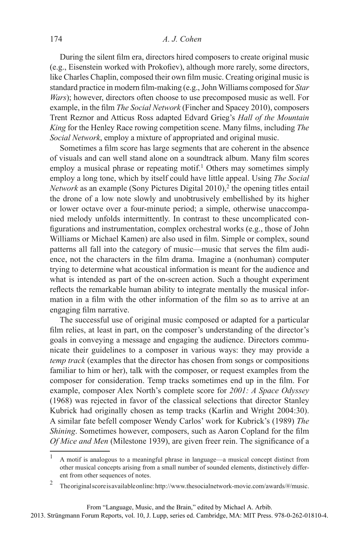#### 174 *A. J. Cohen*

During the silent film era, directors hired composers to create original music (e.g., Eisenstein worked with Prokofiev), although more rarely, some directors, like Charles Chaplin, composed their own film music. Creating original music is standard practice in modern film-making (e.g., John Williams composed for *Star Wars*); however, directors often choose to use precomposed music as well. For example, in the film *The Social Network* (Fincher and Spacey 2010), composers Trent Reznor and Atticus Ross adapted Edvard Grieg's *Hall of the Mountain King* for the Henley Race rowing competition scene. Many films, including *The Social Network*, employ a mixture of appropriated and original music.

Sometimes a film score has large segments that are coherent in the absence of visuals and can well stand alone on a soundtrack album. Many film scores employ a musical phrase or repeating motif.<sup>1</sup> Others may sometimes simply employ a long tone, which by itself could have little appeal. Using *The Social Network* as an example (Sony Pictures Digital  $2010$ ),<sup>2</sup> the opening titles entail the drone of a low note slowly and unobtrusively embellished by its higher or lower octave over a four-minute period; a simple, otherwise unaccompanied melody unfolds intermittently. In contrast to these uncomplicated configurations and instrumentation, complex orchestral works (e.g., those of John Williams or Michael Kamen) are also used in film. Simple or complex, sound patterns all fall into the category of music—music that serves the film audience, not the characters in the film drama. Imagine a (nonhuman) computer trying to determine what acoustical information is meant for the audience and what is intended as part of the on-screen action. Such a thought experiment reflects the remarkable human ability to integrate mentally the musical information in a film with the other information of the film so as to arrive at an engaging film narrative.

The successful use of original music composed or adapted for a particular film relies, at least in part, on the composer's understanding of the director's goals in conveying a message and engaging the audience. Directors communicate their guidelines to a composer in various ways: they may provide a *temp track* (examples that the director has chosen from songs or compositions familiar to him or her), talk with the composer, or request examples from the composer for consideration. Temp tracks sometimes end up in the film. For example, composer Alex North's complete score for *2001: A Space Odyssey* (1968) was rejected in favor of the classical selections that director Stanley Kubrick had originally chosen as temp tracks (Karlin and Wright 2004:30). A similar fate befell composer Wendy Carlos' work for Kubrick's (1989) *The Shining*. Sometimes however, composers, such as Aaron Copland for the film *Of Mice and Men* (Milestone 1939), are given freer rein. The significance of a

<sup>1</sup> A motif is analogous to a meaningful phrase in language—a musical concept distinct from other musical concepts arising from a small number of sounded elements, distinctively different from other sequences of notes.

<sup>2</sup> The original score is available online: http://www.thesocialnetwork-movie.com/awards/#/music.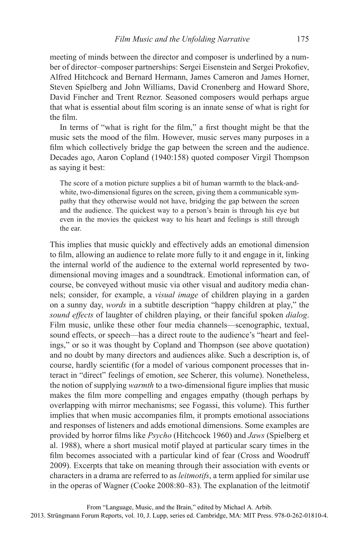meeting of minds between the director and composer is underlined by a number of director–composer partnerships: Sergei Eisenstein and Sergei Prokofiev, Alfred Hitchcock and Bernard Hermann, James Cameron and James Horner, Steven Spielberg and John Williams, David Cronenberg and Howard Shore, David Fincher and Trent Reznor. Seasoned composers would perhaps argue that what is essential about film scoring is an innate sense of what is right for the film.

In terms of "what is right for the film," a first thought might be that the music sets the mood of the film. However, music serves many purposes in a film which collectively bridge the gap between the screen and the audience. Decades ago, Aaron Copland (1940:158) quoted composer Virgil Thompson as saying it best:

The score of a motion picture supplies a bit of human warmth to the black-andwhite, two-dimensional figures on the screen, giving them a communicable sympathy that they otherwise would not have, bridging the gap between the screen and the audience. The quickest way to a person's brain is through his eye but even in the movies the quickest way to his heart and feelings is still through the ear.

This implies that music quickly and effectively adds an emotional dimension to film, allowing an audience to relate more fully to it and engage in it, linking the internal world of the audience to the external world represented by twodimensional moving images and a soundtrack. Emotional information can, of course, be conveyed without music via other visual and auditory media channels; consider, for example, a *visual image* of children playing in a garden on a sunny day, *words* in a subtitle description "happy children at play," the *sound effects* of laughter of children playing, or their fanciful spoken *dialog*. Film music, unlike these other four media channels—scenographic, textual, sound effects, or speech—has a direct route to the audience's "heart and feelings," or so it was thought by Copland and Thompson (see above quotation) and no doubt by many directors and audiences alike. Such a description is, of course, hardly scientific (for a model of various component processes that interact in "direct" feelings of emotion, see Scherer, this volume). Nonetheless, the notion of supplying *warmth* to a two-dimensional figure implies that music makes the film more compelling and engages empathy (though perhaps by overlapping with mirror mechanisms; see Fogassi, this volume). This further implies that when music accompanies film, it prompts emotional associations and responses of listeners and adds emotional dimensions. Some examples are provided by horror films like *Psycho* (Hitchcock 1960) and *Jaws* (Spielberg et al. 1988), where a short musical motif played at particular scary times in the film becomes associated with a particular kind of fear (Cross and Woodruff 2009). Excerpts that take on meaning through their association with events or characters in a drama are referred to as *leitmotifs*, a term applied for similar use in the operas of Wagner (Cooke 2008:80–83). The explanation of the leitmotif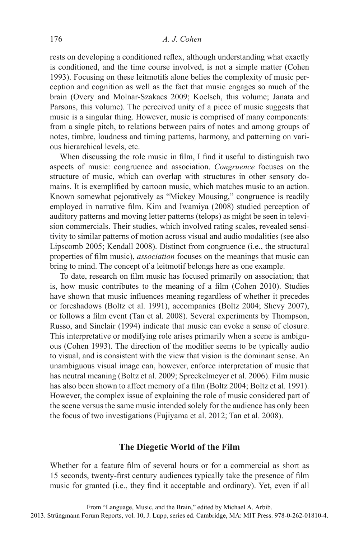rests on developing a conditioned reflex, although understanding what exactly is conditioned, and the time course involved, is not a simple matter (Cohen 1993). Focusing on these leitmotifs alone belies the complexity of music perception and cognition as well as the fact that music engages so much of the brain (Overy and Molnar-Szakacs 2009; Koelsch, this volume; Janata and Parsons, this volume). The perceived unity of a piece of music suggests that music is a singular thing. However, music is comprised of many components: from a single pitch, to relations between pairs of notes and among groups of notes, timbre, loudness and timing patterns, harmony, and patterning on various hierarchical levels, etc.

When discussing the role music in film, I find it useful to distinguish two aspects of music: congruence and association. *Congruence* focuses on the structure of music, which can overlap with structures in other sensory domains. It is exemplified by cartoon music, which matches music to an action. Known somewhat pejoratively as "Mickey Mousing," congruence is readily employed in narrative film. Kim and Iwamiya (2008) studied perception of auditory patterns and moving letter patterns (telops) as might be seen in television commercials. Their studies, which involved rating scales, revealed sensitivity to similar patterns of motion across visual and audio modalities (see also Lipscomb 2005; Kendall 2008). Distinct from congruence (i.e., the structural properties of film music), *association* focuses on the meanings that music can bring to mind. The concept of a leitmotif belongs here as one example.

To date, research on film music has focused primarily on association; that is, how music contributes to the meaning of a film (Cohen 2010). Studies have shown that music influences meaning regardless of whether it precedes or foreshadows (Boltz et al. 1991), accompanies (Boltz 2004; Shevy 2007), or follows a film event (Tan et al. 2008). Several experiments by Thompson, Russo, and Sinclair (1994) indicate that music can evoke a sense of closure. This interpretative or modifying role arises primarily when a scene is ambiguous (Cohen 1993). The direction of the modifier seems to be typically audio to visual, and is consistent with the view that vision is the dominant sense. An unambiguous visual image can, however, enforce interpretation of music that has neutral meaning (Boltz et al. 2009; Spreckelmeyer et al. 2006). Film music has also been shown to affect memory of a film (Boltz 2004; Boltz et al. 1991). However, the complex issue of explaining the role of music considered part of the scene versus the same music intended solely for the audience has only been the focus of two investigations (Fujiyama et al. 2012; Tan et al. 2008).

## **The Diegetic World of the Film**

Whether for a feature film of several hours or for a commercial as short as 15 seconds, twenty-first century audiences typically take the presence of film music for granted (i.e., they find it acceptable and ordinary). Yet, even if all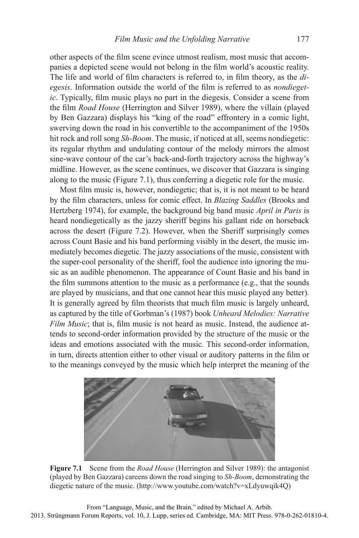other aspects of the film scene evince utmost realism, most music that accompanies a depicted scene would not belong in the film world's acoustic reality. The life and world of film characters is referred to, in film theory, as the *di*egesis. Information outside the world of the film is referred to as *nondiegetic*. Typically, film music plays no part in the diegesis. Consider a scene from the film *Road House* (Herrington and Silver 1989), where the villain (played by Ben Gazzara) displays his "king of the road" effrontery in a comic light, swerving down the road in his convertible to the accompaniment of the 1950s hit rock and roll song *Sh-Boom*. The music, if noticed at all, seems nondiegetic: its regular rhythm and undulating contour of the melody mirrors the almost sine-wave contour of the car's back-and-forth trajectory across the highway's midline. However, as the scene continues, we discover that Gazzara is singing along to the music (Figure 7.1), thus conferring a diegetic role for the music.

Most film music is, however, nondiegetic; that is, it is not meant to be heard by the film characters, unless for comic effect. In *Blazing Saddles* (Brooks and Hertzberg 1974), for example, the background big band music *April in Paris* is heard nondiegetically as the jazzy sheriff begins his gallant ride on horseback across the desert (Figure 7.2). However, when the Sheriff surprisingly comes across Count Basie and his band performing visibly in the desert, the music immediately becomes diegetic. The jazzy associations of the music, consistent with the super-cool personality of the sheriff, fool the audience into ignoring the music as an audible phenomenon. The appearance of Count Basie and his band in the film summons attention to the music as a performance (e.g., that the sounds are played by musicians, and that one cannot hear this music played any better). It is generally agreed by film theorists that much film music is largely unheard, as captured by the title of Gorbman's (1987) book *Unheard Melodies: Narrative Film Music*; that is, film music is not heard as music. Instead, the audience attends to second-order information provided by the structure of the music or the ideas and emotions associated with the music. This second-order information, in turn, directs attention either to other visual or auditory patterns in the film or to the meanings conveyed by the music which help interpret the meaning of the



**Figure 7.1** Scene from the *Road House* (Herrington and Silver 1989): the antagonist (played by Ben Gazzara) careens down the road singing to *Sh-Boom*, demonstrating the diegetic nature of the music. (http://www.youtube.com/watch?v=xLdyuwqik4Q)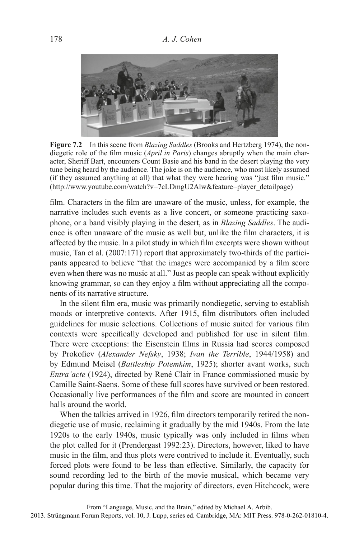

**Figure 7.2** In this scene from *Blazing Saddles* (Brooks and Hertzberg 1974), the nondiegetic role of the film music (*April in Paris*) changes abruptly when the main character, Sheriff Bart, encounters Count Basie and his band in the desert playing the very tune being heard by the audience. The joke is on the audience, who most likely assumed (if they assumed anything at all) that what they were hearing was "just film music." (http://www.youtube.com/watch?v=7cLDmgU2Alw&feature=player\_detailpage)

film. Characters in the film are unaware of the music, unless, for example, the narrative includes such events as a live concert, or someone practicing saxophone, or a band visibly playing in the desert, as in *Blazing Saddles*. The audience is often unaware of the music as well but, unlike the film characters, it is affected by the music. In a pilot study in which film excerpts were shown without music, Tan et al. (2007:171) report that approximately two-thirds of the participants appeared to believe "that the images were accompanied by a film score" even when there was no music at all." Just as people can speak without explicitly knowing grammar, so can they enjoy a film without appreciating all the components of its narrative structure.

In the silent film era, music was primarily nondiegetic, serving to establish moods or interpretive contexts. After 1915, film distributors often included guidelines for music selections. Collections of music suited for various film contexts were specifically developed and published for use in silent film. There were exceptions: the Eisenstein films in Russia had scores composed by Prokofiev (*Alexander Nefsky*, 1938; *Ivan the Terrible*, 1944/1958) and by Edmund Meisel (*Battleship Potemkim*, 1925); shorter avant works, such *Entra'acte* (1924), directed by René Clair in France commissioned music by Camille Saint-Saens. Some of these full scores have survived or been restored. Occasionally live performances of the film and score are mounted in concert halls around the world.

When the talkies arrived in 1926, film directors temporarily retired the nondiegetic use of music, reclaiming it gradually by the mid 1940s. From the late 1920s to the early 1940s, music typically was only included in films when the plot called for it (Prendergast 1992:23). Directors, however, liked to have music in the film, and thus plots were contrived to include it. Eventually, such forced plots were found to be less than effective. Similarly, the capacity for sound recording led to the birth of the movie musical, which became very popular during this time. That the majority of directors, even Hitchcock, were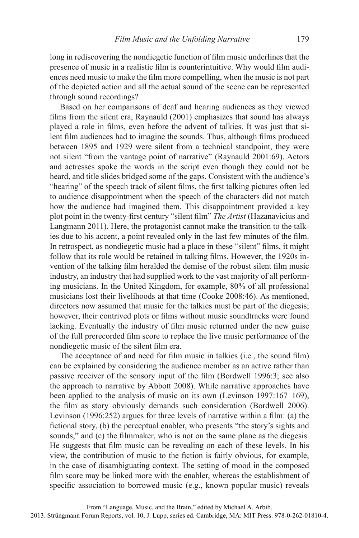long in rediscovering the nondiegetic function of film music underlines that the presence of music in a realistic film is counterintuitive. Why would film audiences need music to make the film more compelling, when the music is not part of the depicted action and all the actual sound of the scene can be represented through sound recordings?

Based on her comparisons of deaf and hearing audiences as they viewed films from the silent era, Raynauld  $(2001)$  emphasizes that sound has always played a role in films, even before the advent of talkies. It was just that silent film audiences had to imagine the sounds. Thus, although films produced between 1895 and 1929 were silent from a technical standpoint, they were not silent "from the vantage point of narrative" (Raynauld 2001:69). Actors and actresses spoke the words in the script even though they could not be heard, and title slides bridged some of the gaps. Consistent with the audience's "hearing" of the speech track of silent films, the first talking pictures often led to audience disappointment when the speech of the characters did not match how the audience had imagined them. This disappointment provided a key plot point in the twenty-first century "silent film" *The Artist* (Hazanavicius and Langmann 2011). Here, the protagonist cannot make the transition to the talkies due to his accent, a point revealed only in the last few minutes of the film. In retrospect, as nondiegetic music had a place in these "silent" films, it might follow that its role would be retained in talking films. However, the 1920s invention of the talking film heralded the demise of the robust silent film music industry, an industry that had supplied work to the vast majority of all performing musicians. In the United Kingdom, for example, 80% of all professional musicians lost their livelihoods at that time (Cooke 2008:46). As mentioned, directors now assumed that music for the talkies must be part of the diegesis; however, their contrived plots or films without music soundtracks were found lacking. Eventually the industry of film music returned under the new guise of the full prerecorded film score to replace the live music performance of the nondiegetic music of the silent film era.

The acceptance of and need for film music in talkies (i.e., the sound film) can be explained by considering the audience member as an active rather than passive receiver of the sensory input of the film (Bordwell 1996:3; see also the approach to narrative by Abbott 2008). While narrative approaches have been applied to the analysis of music on its own (Levinson 1997:167–169), the film as story obviously demands such consideration (Bordwell 2006). Levinson (1996:252) argues for three levels of narrative within a film: (a) the fictional story, (b) the perceptual enabler, who presents "the story's sights and sounds," and (c) the filmmaker, who is not on the same plane as the diegesis. He suggests that film music can be revealing on each of these levels. In his view, the contribution of music to the fiction is fairly obvious, for example, in the case of disambiguating context. The setting of mood in the composed film score may be linked more with the enabler, whereas the establishment of specific association to borrowed music (e.g., known popular music) reveals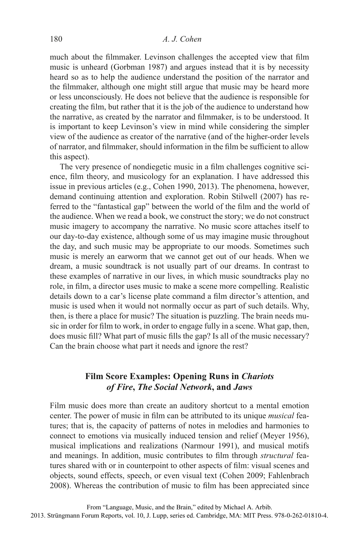much about the filmmaker. Levinson challenges the accepted view that film music is unheard (Gorbman 1987) and argues instead that it is by necessity heard so as to help the audience understand the position of the narrator and the filmmaker, although one might still argue that music may be heard more or less unconsciously. He does not believe that the audience is responsible for creating the film, but rather that it is the job of the audience to understand how the narrative, as created by the narrator and filmmaker, is to be understood. It is important to keep Levinson's view in mind while considering the simpler view of the audience as creator of the narrative (and of the higher-order levels of narrator, and filmmaker, should information in the film be sufficient to allow this aspect).

The very presence of nondiegetic music in a film challenges cognitive science, film theory, and musicology for an explanation. I have addressed this issue in previous articles (e.g., Cohen 1990, 2013). The phenomena, however, demand continuing attention and exploration. Robin Stilwell (2007) has referred to the "fantastical gap" between the world of the film and the world of the audience. When we read a book, we construct the story; we do not construct music imagery to accompany the narrative. No music score attaches itself to our day-to-day existence, although some of us may imagine music throughout the day, and such music may be appropriate to our moods. Sometimes such music is merely an earworm that we cannot get out of our heads. When we dream, a music soundtrack is not usually part of our dreams. In contrast to these examples of narrative in our lives, in which music soundtracks play no role, in film, a director uses music to make a scene more compelling. Realistic details down to a car's license plate command a film director's attention, and music is used when it would not normally occur as part of such details. Why, then, is there a place for music? The situation is puzzling. The brain needs music in order for film to work, in order to engage fully in a scene. What gap, then, does music fill? What part of music fills the gap? Is all of the music necessary? Can the brain choose what part it needs and ignore the rest?

## **Film Score Examples: Opening Runs in** *Chariots of Fire***,** *The Social Network***, and** *Jaws*

Film music does more than create an auditory shortcut to a mental emotion center. The power of music in film can be attributed to its unique *musical* features; that is, the capacity of patterns of notes in melodies and harmonies to connect to emotions via musically induced tension and relief (Meyer 1956), musical implications and realizations (Narmour 1991), and musical motifs and meanings. In addition, music contributes to film through *structural* features shared with or in counterpoint to other aspects of film: visual scenes and objects, sound effects, speech, or even visual text (Cohen 2009; Fahlenbrach 2008). Whereas the contribution of music to film has been appreciated since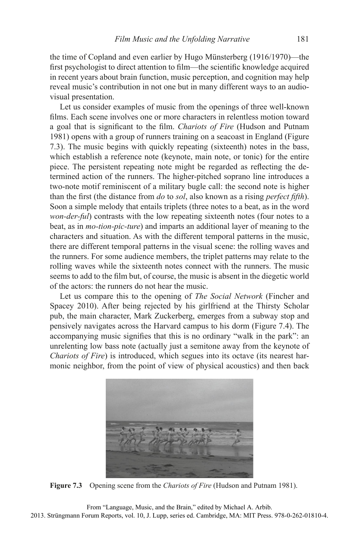the time of Copland and even earlier by Hugo Münsterberg (1916/1970)—the first psychologist to direct attention to film—the scientific knowledge acquired in recent years about brain function, music perception, and cognition may help reveal music's contribution in not one but in many different ways to an audiovisual presentation.

Let us consider examples of music from the openings of three well-known films. Each scene involves one or more characters in relentless motion toward a goal that is significant to the film. *Chariots of Fire* (Hudson and Putnam 1981) opens with a group of runners training on a seacoast in England (Figure 7.3). The music begins with quickly repeating (sixteenth) notes in the bass, which establish a reference note (keynote, main note, or tonic) for the entire piece. The persistent repeating note might be regarded as reflecting the determined action of the runners. The higher-pitched soprano line introduces a two-note motif reminiscent of a military bugle call: the second note is higher than the first (the distance from *do* to *sol*, also known as a rising *perfect fifth*). Soon a simple melody that entails triplets (three notes to a beat, as in the word *won-der-ful*) contrasts with the low repeating sixteenth notes (four notes to a beat, as in *mo-tion-pic-ture*) and imparts an additional layer of meaning to the characters and situation. As with the different temporal patterns in the music, there are different temporal patterns in the visual scene: the rolling waves and the runners. For some audience members, the triplet patterns may relate to the rolling waves while the sixteenth notes connect with the runners. The music seems to add to the film but, of course, the music is absent in the diegetic world of the actors: the runners do not hear the music.

Let us compare this to the opening of *The Social Network* (Fincher and Spacey 2010). After being rejected by his girlfriend at the Thirsty Scholar pub, the main character, Mark Zuckerberg, emerges from a subway stop and pensively navigates across the Harvard campus to his dorm (Figure 7.4). The accompanying music signifies that this is no ordinary "walk in the park": an unrelenting low bass note (actually just a semitone away from the keynote of *Chariots of Fire*) is introduced, which segues into its octave (its nearest harmonic neighbor, from the point of view of physical acoustics) and then back



**Figure 7.3** Opening scene from the *Chariots of Fire* (Hudson and Putnam 1981).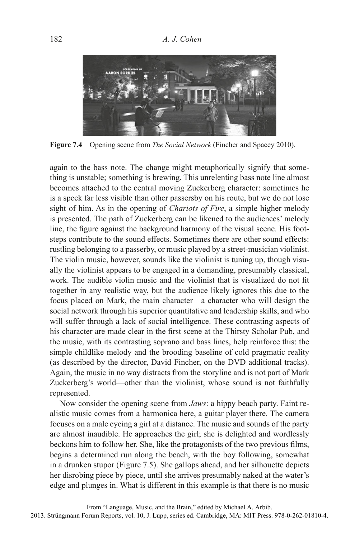

**Figure 7.4** Opening scene from *The Social Network* (Fincher and Spacey 2010).

again to the bass note. The change might metaphorically signify that something is unstable; something is brewing. This unrelenting bass note line almost becomes attached to the central moving Zuckerberg character: sometimes he is a speck far less visible than other passersby on his route, but we do not lose sight of him. As in the opening of *Chariots of Fire*, a simple higher melody is presented. The path of Zuckerberg can be likened to the audiences' melody line, the figure against the background harmony of the visual scene. His footsteps contribute to the sound effects. Sometimes there are other sound effects: rustling belonging to a passerby, or music played by a street-musician violinist. The violin music, however, sounds like the violinist is tuning up, though visually the violinist appears to be engaged in a demanding, presumably classical, work. The audible violin music and the violinist that is visualized do not fit together in any realistic way, but the audience likely ignores this due to the focus placed on Mark, the main character—a character who will design the social network through his superior quantitative and leadership skills, and who will suffer through a lack of social intelligence. These contrasting aspects of his character are made clear in the first scene at the Thirsty Scholar Pub, and the music, with its contrasting soprano and bass lines, help reinforce this: the simple childlike melody and the brooding baseline of cold pragmatic reality (as described by the director, David Fincher, on the DVD additional tracks). Again, the music in no way distracts from the storyline and is not part of Mark Zuckerberg's world—other than the violinist, whose sound is not faithfully represented.

Now consider the opening scene from *Jaws*: a hippy beach party. Faint realistic music comes from a harmonica here, a guitar player there. The camera focuses on a male eyeing a girl at a distance. The music and sounds of the party are almost inaudible. He approaches the girl; she is delighted and wordlessly beckons him to follow her. She, like the protagonists of the two previous films, begins a determined run along the beach, with the boy following, somewhat in a drunken stupor (Figure 7.5). She gallops ahead, and her silhouette depicts her disrobing piece by piece, until she arrives presumably naked at the water's edge and plunges in. What is different in this example is that there is no music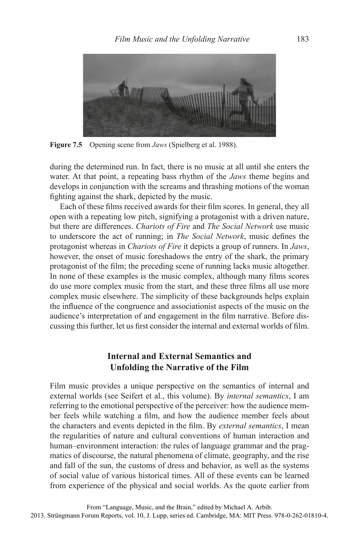

**Figure 7.5** Opening scene from *Jaws* (Spielberg et al. 1988).

during the determined run. In fact, there is no music at all until she enters the water. At that point, a repeating bass rhythm of the *Jaws* theme begins and develops in conjunction with the screams and thrashing motions of the woman fighting against the shark, depicted by the music.

Each of these films received awards for their film scores. In general, they all open with a repeating low pitch, signifying a protagonist with a driven nature, but there are differences. *Chariots of Fire* and *The Social Network* use music to underscore the act of running; in *The Social Network*, music defines the protagonist whereas in *Chariots of Fire* it depicts a group of runners. In *Jaws*, however, the onset of music foreshadows the entry of the shark, the primary protagonist of the film; the preceding scene of running lacks music altogether. In none of these examples is the music complex, although many films scores do use more complex music from the start, and these three films all use more complex music elsewhere. The simplicity of these backgrounds helps explain the influence of the congruence and associationist aspects of the music on the audience's interpretation of and engagement in the film narrative. Before discussing this further, let us first consider the internal and external worlds of film.

# **Internal and External Semantics and Unfolding the Narrative of the Film**

Film music provides a unique perspective on the semantics of internal and external worlds (see Seifert et al., this volume). By *internal semantics*, I am referring to the emotional perspective of the perceiver: how the audience member feels while watching a film, and how the audience member feels about the characters and events depicted in the film. By *external semantics*, I mean the regularities of nature and cultural conventions of human interaction and human–environment interaction: the rules of language grammar and the pragmatics of discourse, the natural phenomena of climate, geography, and the rise and fall of the sun, the customs of dress and behavior, as well as the systems of social value of various historical times. All of these events can be learned from experience of the physical and social worlds. As the quote earlier from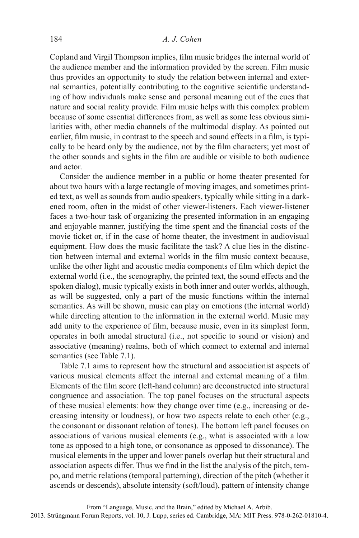Copland and Virgil Thompson implies, film music bridges the internal world of the audience member and the information provided by the screen. Film music thus provides an opportunity to study the relation between internal and external semantics, potentially contributing to the cognitive scientific understanding of how individuals make sense and personal meaning out of the cues that nature and social reality provide. Film music helps with this complex problem because of some essential differences from, as well as some less obvious similarities with, other media channels of the multimodal display. As pointed out earlier, film music, in contrast to the speech and sound effects in a film, is typically to be heard only by the audience, not by the film characters; yet most of the other sounds and sights in the film are audible or visible to both audience and actor.

Consider the audience member in a public or home theater presented for about two hours with a large rectangle of moving images, and sometimes printed text, as well as sounds from audio speakers, typically while sitting in a darkened room, often in the midst of other viewer-listeners. Each viewer-listener faces a two-hour task of organizing the presented information in an engaging and enjoyable manner, justifying the time spent and the financial costs of the movie ticket or, if in the case of home theater, the investment in audiovisual equipment. How does the music facilitate the task? A clue lies in the distinction between internal and external worlds in the film music context because. unlike the other light and acoustic media components of film which depict the external world (i.e., the scenography, the printed text, the sound effects and the spoken dialog), music typically exists in both inner and outer worlds, although, as will be suggested, only a part of the music functions within the internal semantics. As will be shown, music can play on emotions (the internal world) while directing attention to the information in the external world. Music may add unity to the experience of film, because music, even in its simplest form, operates in both amodal structural (i.e., not specific to sound or vision) and associative (meaning) realms, both of which connect to external and internal semantics (see Table 7.1).

Table 7.1 aims to represent how the structural and associationist aspects of various musical elements affect the internal and external meaning of a film. Elements of the film score (left-hand column) are deconstructed into structural congruence and association. The top panel focuses on the structural aspects of these musical elements: how they change over time (e.g., increasing or decreasing intensity or loudness), or how two aspects relate to each other (e.g., the consonant or dissonant relation of tones). The bottom left panel focuses on associations of various musical elements (e.g., what is associated with a low tone as opposed to a high tone, or consonance as opposed to dissonance). The musical elements in the upper and lower panels overlap but their structural and association aspects differ. Thus we find in the list the analysis of the pitch, tempo, and metric relations (temporal patterning), direction of the pitch (whether it ascends or descends), absolute intensity (soft/loud), pattern of intensity change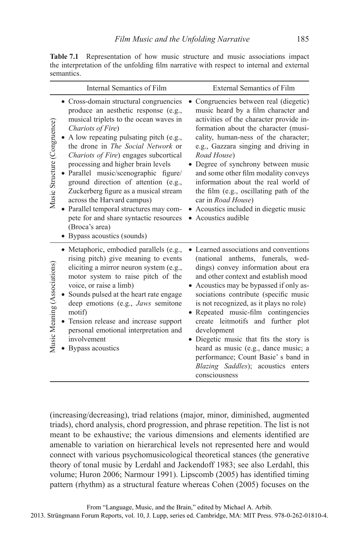**Table 7.1** Representation of how music structure and music associations impact the interpretation of the unfolding film narrative with respect to internal and external semantics.

| Internal Semantics of Film                                                                                                                                                                                                                                                                                                                                                                                                                                                                                                                                                                                                                            | <b>External Semantics of Film</b>                                                                                                                                                                                                                                                                                                                                                                                                                                                                                                                                 |
|-------------------------------------------------------------------------------------------------------------------------------------------------------------------------------------------------------------------------------------------------------------------------------------------------------------------------------------------------------------------------------------------------------------------------------------------------------------------------------------------------------------------------------------------------------------------------------------------------------------------------------------------------------|-------------------------------------------------------------------------------------------------------------------------------------------------------------------------------------------------------------------------------------------------------------------------------------------------------------------------------------------------------------------------------------------------------------------------------------------------------------------------------------------------------------------------------------------------------------------|
| • Cross-domain structural congruencies<br>produce an aesthetic response (e.g.,<br>musical triplets to the ocean waves in<br>Music Structure (Congruence)<br>Chariots of Fire)<br>A low repeating pulsating pitch (e.g.,<br>the drone in <i>The Social Network</i> or<br><i>Chariots of Fire</i> ) engages subcortical<br>processing and higher brain levels<br>Parallel music/scenographic figure/<br>ground direction of attention (e.g.,<br>Zuckerberg figure as a musical stream<br>across the Harvard campus)<br>Parallel temporal structures may com-<br>pete for and share syntactic resources<br>(Broca's area)<br>• Bypass acoustics (sounds) | Congruencies between real (diegetic)<br>music heard by a film character and<br>activities of the character provide in-<br>formation about the character (musi-<br>cality, human-ness of the character;<br>e.g., Gazzara singing and driving in<br>Road House)<br>Degree of synchrony between music<br>and some other film modality conveys<br>information about the real world of<br>the film (e.g., oscillating path of the<br>car in Road House)<br>Acoustics included in diegetic music<br>• Acoustics audible                                                 |
| • Metaphoric, embodied parallels (e.g.,<br>rising pitch) give meaning to events<br>Music Meaning (Associations)<br>eliciting a mirror neuron system (e.g.,<br>motor system to raise pitch of the<br>voice, or raise a limb)<br>Sounds pulsed at the heart rate engage<br>deep emotions (e.g., Jaws semitone<br>motif)<br>Tension release and increase support<br>personal emotional interpretation and<br>involvement<br>Bypass acoustics                                                                                                                                                                                                             | • Learned associations and conventions<br>(national anthems, funerals, wed-<br>dings) convey information about era<br>and other context and establish mood<br>Acoustics may be bypassed if only as-<br>sociations contribute (specific music<br>is not recognized, as it plays no role)<br>Repeated music-film contingencies<br>create leitmotifs and further plot<br>development<br>• Diegetic music that fits the story is<br>heard as music (e.g., dance music; a<br>performance; Count Basie's band in<br>Blazing Saddles); acoustics enters<br>consciousness |

(increasing/decreasing), triad relations (major, minor, diminished, augmented triads), chord analysis, chord progression, and phrase repetition. The list is not meant to be exhaustive; the various dimensions and elements identified are amenable to variation on hierarchical levels not represented here and would connect with various psychomusicological theoretical stances (the generative theory of tonal music by Lerdahl and Jackendoff 1983; see also Lerdahl, this volume; Huron 2006; Narmour 1991). Lipscomb (2005) has identified timing pattern (rhythm) as a structural feature whereas Cohen (2005) focuses on the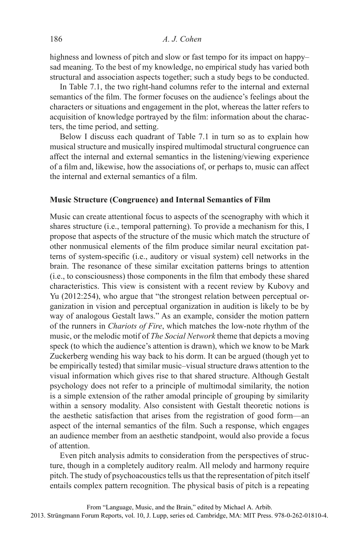highness and lowness of pitch and slow or fast tempo for its impact on happy– sad meaning. To the best of my knowledge, no empirical study has varied both structural and association aspects together; such a study begs to be conducted.

In Table 7.1, the two right-hand columns refer to the internal and external semantics of the film. The former focuses on the audience's feelings about the characters or situations and engagement in the plot, whereas the latter refers to acquisition of knowledge portrayed by the film: information about the characters, the time period, and setting.

Below I discuss each quadrant of Table 7.1 in turn so as to explain how musical structure and musically inspired multimodal structural congruence can affect the internal and external semantics in the listening/viewing experience of a film and, likewise, how the associations of, or perhaps to, music can affect the internal and external semantics of a film.

#### **Music Structure (Congruence) and Internal Semantics of Film**

Music can create attentional focus to aspects of the scenography with which it shares structure (i.e., temporal patterning). To provide a mechanism for this, I propose that aspects of the structure of the music which match the structure of other nonmusical elements of the film produce similar neural excitation patterns of system-specific (i.e., auditory or visual system) cell networks in the brain. The resonance of these similar excitation patterns brings to attention (i.e., to consciousness) those components in the film that embody these shared characteristics. This view is consistent with a recent review by Kubovy and Yu (2012:254), who argue that "the strongest relation between perceptual organization in vision and perceptual organization in audition is likely to be by way of analogous Gestalt laws." As an example, consider the motion pattern of the runners in *Chariots of Fire*, which matches the low-note rhythm of the music, or the melodic motif of *The Social Network* theme that depicts a moving speck (to which the audience's attention is drawn), which we know to be Mark Zuckerberg wending his way back to his dorm. It can be argued (though yet to be empirically tested) that similar music–visual structure draws attention to the visual information which gives rise to that shared structure. Although Gestalt psychology does not refer to a principle of multimodal similarity, the notion is a simple extension of the rather amodal principle of grouping by similarity within a sensory modality. Also consistent with Gestalt theoretic notions is the aesthetic satisfaction that arises from the registration of good form—an aspect of the internal semantics of the film. Such a response, which engages an audience member from an aesthetic standpoint, would also provide a focus of attention.

Even pitch analysis admits to consideration from the perspectives of structure, though in a completely auditory realm. All melody and harmony require pitch. The study of psychoacoustics tells us that the representation of pitch itself entails complex pattern recognition. The physical basis of pitch is a repeating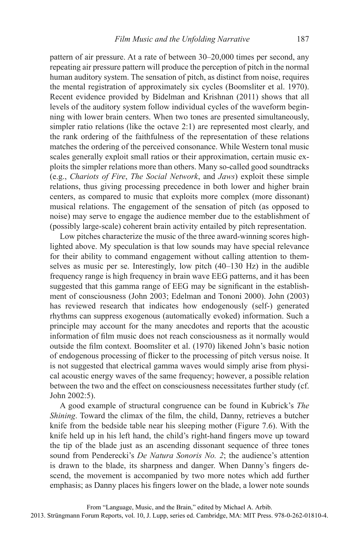pattern of air pressure. At a rate of between 30–20,000 times per second, any repeating air pressure pattern will produce the perception of pitch in the normal human auditory system. The sensation of pitch, as distinct from noise, requires the mental registration of approximately six cycles (Boomsliter et al. 1970). Recent evidence provided by Bidelman and Krishnan (2011) shows that all levels of the auditory system follow individual cycles of the waveform beginning with lower brain centers. When two tones are presented simultaneously, simpler ratio relations (like the octave 2:1) are represented most clearly, and the rank ordering of the faithfulness of the representation of these relations matches the ordering of the perceived consonance. While Western tonal music scales generally exploit small ratios or their approximation, certain music exploits the simpler relations more than others. Many so-called good soundtracks (e.g., *Chariots of Fire*, *The Social Network*, and *Jaws*) exploit these simple relations, thus giving processing precedence in both lower and higher brain centers, as compared to music that exploits more complex (more dissonant) musical relations. The engagement of the sensation of pitch (as opposed to noise) may serve to engage the audience member due to the establishment of (possibly large-scale) coherent brain activity entailed by pitch representation.

Low pitches characterize the music of the three award-winning scores highlighted above. My speculation is that low sounds may have special relevance for their ability to command engagement without calling attention to themselves as music per se. Interestingly, low pitch (40–130 Hz) in the audible frequency range is high frequency in brain wave EEG patterns, and it has been suggested that this gamma range of EEG may be significant in the establishment of consciousness (John 2003; Edelman and Tononi 2000). John (2003) has reviewed research that indicates how endogenously (self-) generated rhythms can suppress exogenous (automatically evoked) information. Such a principle may account for the many anecdotes and reports that the acoustic information of film music does not reach consciousness as it normally would outside the film context. Boomsliter et al. (1970) likened John's basic notion of endogenous processing of flicker to the processing of pitch versus noise. It is not suggested that electrical gamma waves would simply arise from physical acoustic energy waves of the same frequency; however, a possible relation between the two and the effect on consciousness necessitates further study (cf. John 2002:5).

A good example of structural congruence can be found in Kubrick's *The Shining*. Toward the climax of the film, the child, Danny, retrieves a butcher knife from the bedside table near his sleeping mother (Figure 7.6). With the knife held up in his left hand, the child's right-hand fingers move up toward the tip of the blade just as an ascending dissonant sequence of three tones sound from Penderecki's *De Natura Sonoris No. 2*; the audience's attention is drawn to the blade, its sharpness and danger. When Danny's fingers descend, the movement is accompanied by two more notes which add further emphasis; as Danny places his fingers lower on the blade, a lower note sounds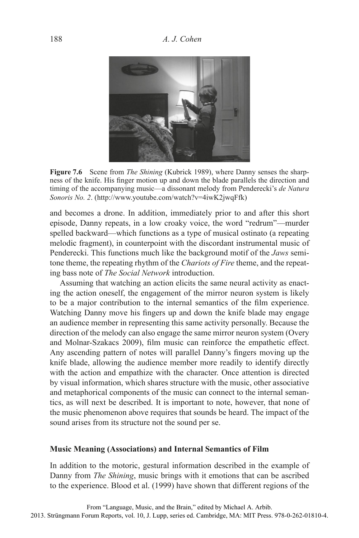

**Figure 7.6** Scene from *The Shining* (Kubrick 1989), where Danny senses the sharpness of the knife. His finger motion up and down the blade parallels the direction and timing of the accompanying music—a dissonant melody from Penderecki's *de Natura Sonoris No. 2*. (http://www.youtube.com/watch?v=4iwK2jwqFfk)

and becomes a drone. In addition, immediately prior to and after this short episode, Danny repeats, in a low croaky voice, the word "redrum"—murder spelled backward—which functions as a type of musical ostinato (a repeating melodic fragment), in counterpoint with the discordant instrumental music of Penderecki. This functions much like the background motif of the *Jaws* semitone theme, the repeating rhythm of the *Chariots of Fire* theme, and the repeating bass note of *The Social Network* introduction.

Assuming that watching an action elicits the same neural activity as enacting the action oneself, the engagement of the mirror neuron system is likely to be a major contribution to the internal semantics of the film experience. Watching Danny move his fingers up and down the knife blade may engage an audience member in representing this same activity personally. Because the direction of the melody can also engage the same mirror neuron system (Overy and Molnar-Szakacs 2009), film music can reinforce the empathetic effect. Any ascending pattern of notes will parallel Danny's fingers moving up the knife blade, allowing the audience member more readily to identify directly with the action and empathize with the character. Once attention is directed by visual information, which shares structure with the music, other associative and metaphorical components of the music can connect to the internal semantics, as will next be described. It is important to note, however, that none of the music phenomenon above requires that sounds be heard. The impact of the sound arises from its structure not the sound per se.

#### **Music Meaning ( Associations) and Internal Semantics of Film**

In addition to the motoric, gestural information described in the example of Danny from *The Shining*, music brings with it emotions that can be ascribed to the experience. Blood et al. (1999) have shown that different regions of the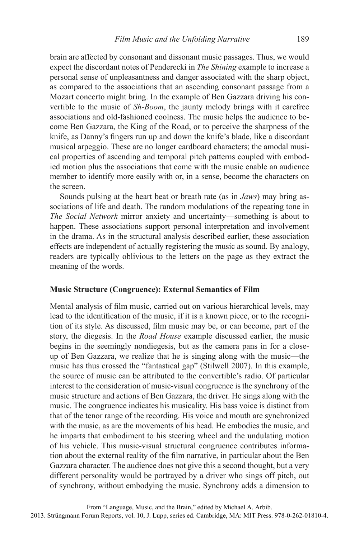brain are affected by consonant and dissonant music passages. Thus, we would expect the discordant notes of Penderecki in *The Shining* example to increase a personal sense of unpleasantness and danger associated with the sharp object, as compared to the associations that an ascending consonant passage from a Mozart concerto might bring. In the example of Ben Gazzara driving his convertible to the music of *Sh-Boom*, the jaunty melody brings with it carefree associations and old-fashioned coolness. The music helps the audience to become Ben Gazzara, the King of the Road, or to perceive the sharpness of the knife, as Danny's fingers run up and down the knife's blade, like a discordant musical arpeggio. These are no longer cardboard characters; the amodal musical properties of ascending and temporal pitch patterns coupled with embodied motion plus the associations that come with the music enable an audience member to identify more easily with or, in a sense, become the characters on the screen.

Sounds pulsing at the heart beat or breath rate (as in *Jaws*) may bring associations of life and death. The random modulations of the repeating tone in *The Social Network* mirror anxiety and uncertainty—something is about to happen. These associations support personal interpretation and involvement in the drama. As in the structural analysis described earlier, these association effects are independent of actually registering the music as sound. By analogy, readers are typically oblivious to the letters on the page as they extract the meaning of the words.

#### **Music Structure (Congruence): External Semantics of Film**

Mental analysis of film music, carried out on various hierarchical levels, may lead to the identification of the music, if it is a known piece, or to the recognition of its style. As discussed, film music may be, or can become, part of the story, the diegesis. In the *Road House* example discussed earlier, the music begins in the seemingly nondiegesis, but as the camera pans in for a closeup of Ben Gazzara, we realize that he is singing along with the music—the music has thus crossed the "fantastical gap" (Stilwell 2007). In this example, the source of music can be attributed to the convertible's radio. Of particular interest to the consideration of music-visual congruence is the synchrony of the music structure and actions of Ben Gazzara, the driver. He sings along with the music. The congruence indicates his musicality. His bass voice is distinct from that of the tenor range of the recording. His voice and mouth are synchronized with the music, as are the movements of his head. He embodies the music, and he imparts that embodiment to his steering wheel and the undulating motion of his vehicle. This music-visual structural congruence contributes information about the external reality of the film narrative, in particular about the Ben Gazzara character. The audience does not give this a second thought, but a very different personality would be portrayed by a driver who sings off pitch, out of synchrony, without embodying the music. Synchrony adds a dimension to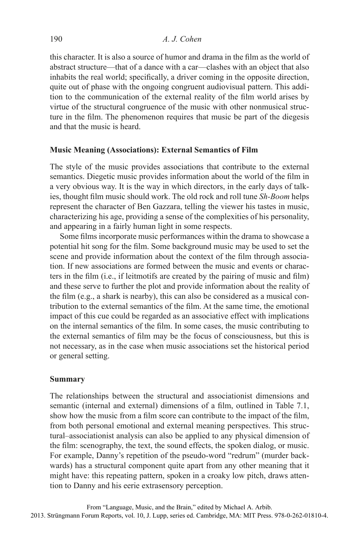this character. It is also a source of humor and drama in the film as the world of abstract structure—that of a dance with a car—clashes with an object that also inhabits the real world; specifically, a driver coming in the opposite direction, quite out of phase with the ongoing congruent audiovisual pattern. This addition to the communication of the external reality of the film world arises by virtue of the structural congruence of the music with other nonmusical structure in the film. The phenomenon requires that music be part of the diegesis and that the music is heard.

#### **Music Meaning (Associations): External Semantics of Film**

The style of the music provides associations that contribute to the external semantics. Diegetic music provides information about the world of the film in a very obvious way. It is the way in which directors, in the early days of talkies, thought film music should work. The old rock and roll tune *Sh-Boom* helps represent the character of Ben Gazzara, telling the viewer his tastes in music, characterizing his age, providing a sense of the complexities of his personality, and appearing in a fairly human light in some respects.

Some films incorporate music performances within the drama to showcase a potential hit song for the film. Some background music may be used to set the scene and provide information about the context of the film through association. If new associations are formed between the music and events or characters in the film (i.e., if leitmotifs are created by the pairing of music and film) and these serve to further the plot and provide information about the reality of the film  $(e.g., a shark is nearby)$ , this can also be considered as a musical contribution to the external semantics of the film. At the same time, the emotional impact of this cue could be regarded as an associative effect with implications on the internal semantics of the film. In some cases, the music contributing to the external semantics of film may be the focus of consciousness, but this is not necessary, as in the case when music associations set the historical period or general setting.

#### **Summary**

The relationships between the structural and associationist dimensions and semantic (internal and external) dimensions of a film, outlined in Table 7.1, show how the music from a film score can contribute to the impact of the film, from both personal emotional and external meaning perspectives. This structural–associationist analysis can also be applied to any physical dimension of the film: scenography, the text, the sound effects, the spoken dialog, or music. For example, Danny's repetition of the pseudo-word "redrum" (murder backwards) has a structural component quite apart from any other meaning that it might have: this repeating pattern, spoken in a croaky low pitch, draws attention to Danny and his eerie extrasensory perception.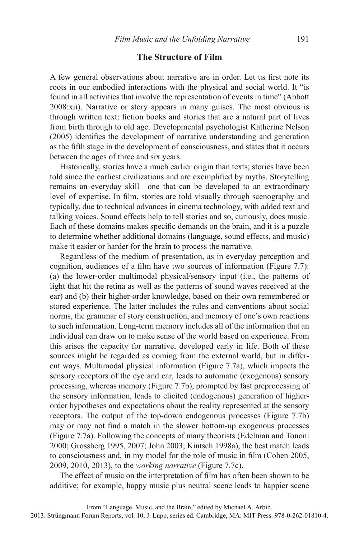## **The Structure of Film**

A few general observations about narrative are in order. Let us first note its roots in our embodied interactions with the physical and social world. It "is found in all activities that involve the representation of events in time" (Abbott 2008:xii). Narrative or story appears in many guises. The most obvious is through written text: fiction books and stories that are a natural part of lives from birth through to old age. Developmental psychologist Katherine Nelson  $(2005)$  identifies the development of narrative understanding and generation as the fifth stage in the development of consciousness, and states that it occurs between the ages of three and six years.

Historically, stories have a much earlier origin than texts; stories have been told since the earliest civilizations and are exemplified by myths. Storytelling remains an everyday skill—one that can be developed to an extraordinary level of expertise. In film, stories are told visually through scenography and typically, due to technical advances in cinema technology, with added text and talking voices. Sound effects help to tell stories and so, curiously, does music. Each of these domains makes specific demands on the brain, and it is a puzzle to determine whether additional domains (language, sound effects, and music) make it easier or harder for the brain to process the narrative.

Regardless of the medium of presentation, as in everyday perception and cognition, audiences of a film have two sources of information (Figure  $7.7$ ): (a) the lower-order multimodal physical/sensory input (i.e., the patterns of light that hit the retina as well as the patterns of sound waves received at the ear) and (b) their higher-order knowledge, based on their own remembered or stored experience. The latter includes the rules and conventions about social norms, the grammar of story construction, and memory of one's own reactions to such information. Long-term memory includes all of the information that an individual can draw on to make sense of the world based on experience. From this arises the capacity for narrative, developed early in life. Both of these sources might be regarded as coming from the external world, but in different ways. Multimodal physical information (Figure 7.7a), which impacts the sensory receptors of the eye and ear, leads to automatic (exogenous) sensory processing, whereas memory (Figure 7.7b), prompted by fast preprocessing of the sensory information, leads to elicited (endogenous) generation of higherorder hypotheses and expectations about the reality represented at the sensory receptors. The output of the top-down endogenous processes (Figure 7.7b) may or may not find a match in the slower bottom-up exogenous processes (Figure 7.7a). Following the concepts of many theorists (Edelman and Tononi 2000; Grossberg 1995, 2007; John 2003; Kintsch 1998a), the best match leads to consciousness and, in my model for the role of music in film (Cohen 2005, 2009, 2010, 2013), to the *working narrative* (Figure 7.7c).

The effect of music on the interpretation of film has often been shown to be additive; for example, happy music plus neutral scene leads to happier scene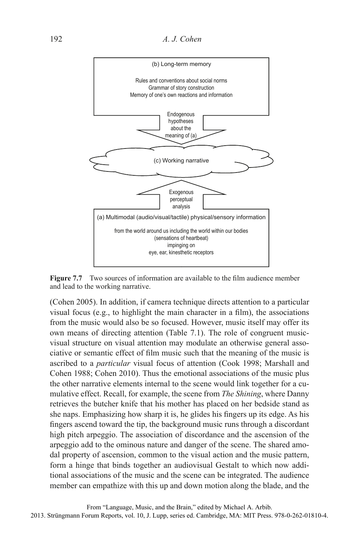

**Figure 7.7** Two sources of information are available to the film audience member and lead to the working narrative.

(Cohen 2005). In addition, if camera technique directs attention to a particular visual focus (e.g., to highlight the main character in a film), the associations from the music would also be so focused. However, music itself may offer its own means of directing attention (Table 7.1). The role of congruent musicvisual structure on visual attention may modulate an otherwise general associative or semantic effect of film music such that the meaning of the music is ascribed to a *particular* visual focus of attention (Cook 1998; Marshall and Cohen 1988; Cohen 2010). Thus the emotional associations of the music plus the other narrative elements internal to the scene would link together for a cumulative effect. Recall, for example, the scene from *The Shining*, where Danny retrieves the butcher knife that his mother has placed on her bedside stand as she naps. Emphasizing how sharp it is, he glides his fingers up its edge. As his fingers ascend toward the tip, the background music runs through a discordant high pitch arpeggio. The association of discordance and the ascension of the arpeggio add to the ominous nature and danger of the scene. The shared amodal property of ascension, common to the visual action and the music pattern, form a hinge that binds together an audiovisual Gestalt to which now additional associations of the music and the scene can be integrated. The audience member can empathize with this up and down motion along the blade, and the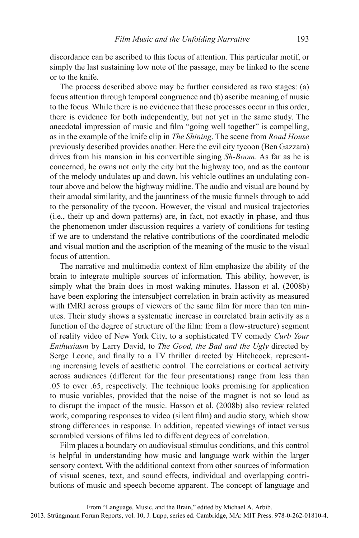discordance can be ascribed to this focus of attention. This particular motif, or simply the last sustaining low note of the passage, may be linked to the scene or to the knife.

The process described above may be further considered as two stages: (a) focus attention through temporal congruence and (b) ascribe meaning of music to the focus. While there is no evidence that these processes occur in this order, there is evidence for both independently, but not yet in the same study. The anecdotal impression of music and film "going well together" is compelling, as in the example of the knife clip in *The Shining*. The scene from *Road House*  previously described provides another. Here the evil city tycoon (Ben Gazzara) drives from his mansion in his convertible singing *Sh-Boom*. As far as he is concerned, he owns not only the city but the highway too, and as the contour of the melody undulates up and down, his vehicle outlines an undulating contour above and below the highway midline. The audio and visual are bound by their amodal similarity, and the jauntiness of the music funnels through to add to the personality of the tycoon. However, the visual and musical trajectories (i.e., their up and down patterns) are, in fact, not exactly in phase, and thus the phenomenon under discussion requires a variety of conditions for testing if we are to understand the relative contributions of the coordinated melodic and visual motion and the ascription of the meaning of the music to the visual focus of attention.

The narrative and multimedia context of film emphasize the ability of the brain to integrate multiple sources of information. This ability, however, is simply what the brain does in most waking minutes. Hasson et al. (2008b) have been exploring the intersubject correlation in brain activity as measured with fMRI across groups of viewers of the same film for more than ten minutes. Their study shows a systematic increase in correlated brain activity as a function of the degree of structure of the film: from a (low-structure) segment of reality video of New York City, to a sophisticated TV comedy *Curb Your Enthusiasm* by Larry David, to *The Good, the Bad and the Ugly* directed by Serge Leone, and finally to a TV thriller directed by Hitchcock, representing increasing levels of aesthetic control. The correlations or cortical activity across audiences (different for the four presentations) range from less than .05 to over .65, respectively. The technique looks promising for application to music variables, provided that the noise of the magnet is not so loud as to disrupt the impact of the music. Hasson et al. (2008b) also review related work, comparing responses to video (silent film) and audio story, which show strong differences in response. In addition, repeated viewings of intact versus scrambled versions of films led to different degrees of correlation.

Film places a boundary on audiovisual stimulus conditions, and this control is helpful in understanding how music and language work within the larger sensory context. With the additional context from other sources of information of visual scenes, text, and sound effects, individual and overlapping contributions of music and speech become apparent. The concept of language and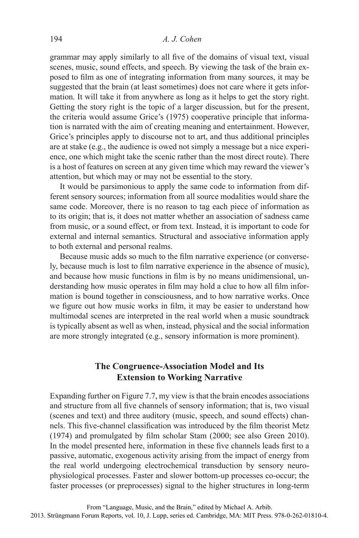grammar may apply similarly to all five of the domains of visual text, visual scenes, music, sound effects, and speech. By viewing the task of the brain exposed to film as one of integrating information from many sources, it may be suggested that the brain (at least sometimes) does not care where it gets information. It will take it from anywhere as long as it helps to get the story right. Getting the story right is the topic of a larger discussion, but for the present, the criteria would assume Grice's (1975) cooperative principle that information is narrated with the aim of creating meaning and entertainment. However, Grice's principles apply to discourse not to art, and thus additional principles are at stake (e.g., the audience is owed not simply a message but a nice experience, one which might take the scenic rather than the most direct route). There is a host of features on screen at any given time which may reward the viewer's attention, but which may or may not be essential to the story.

It would be parsimonious to apply the same code to information from different sensory sources; information from all source modalities would share the same code. Moreover, there is no reason to tag each piece of information as to its origin; that is, it does not matter whether an association of sadness came from music, or a sound effect, or from text. Instead, it is important to code for external and internal semantics. Structural and associative information apply to both external and personal realms.

Because music adds so much to the film narrative experience (or conversely, because much is lost to film narrative experience in the absence of music), and because how music functions in film is by no means unidimensional, understanding how music operates in film may hold a clue to how all film information is bound together in consciousness, and to how narrative works. Once we figure out how music works in film, it may be easier to understand how multimodal scenes are interpreted in the real world when a music soundtrack is typically absent as well as when, instead, physical and the social information are more strongly integrated (e.g., sensory information is more prominent).

# **The Congruence-Association Model and Its Extension to Working Narrative**

Expanding further on Figure 7.7, my view is that the brain encodes associations and structure from all five channels of sensory information; that is, two visual (scenes and text) and three auditory (music, speech, and sound effects) channels. This five-channel classification was introduced by the film theorist Metz  $(1974)$  and promulgated by film scholar Stam  $(2000)$ ; see also Green 2010). In the model presented here, information in these five channels leads first to a passive, automatic, exogenous activity arising from the impact of energy from the real world undergoing electrochemical transduction by sensory neurophysiological processes. Faster and slower bottom-up processes co-occur; the faster processes (or preprocesses) signal to the higher structures in long-term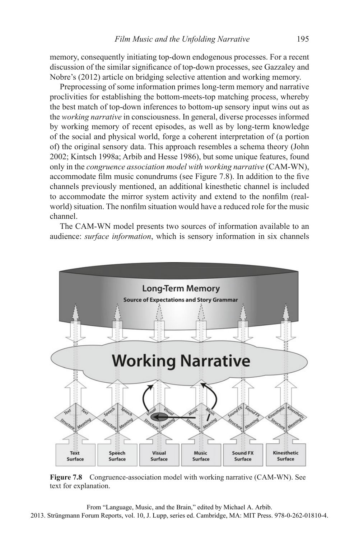memory, consequently initiating top-down endogenous processes. For a recent discussion of the similar significance of top-down processes, see Gazzaley and Nobre's (2012) article on bridging selective attention and working memory.

Preprocessing of some information primes long-term memory and narrative proclivities for establishing the bottom-meets-top matching process, whereby the best match of top-down inferences to bottom-up sensory input wins out as the *working narrative* in consciousness. In general, diverse processes informed by working memory of recent episodes, as well as by long-term knowledge of the social and physical world, forge a coherent interpretation of (a portion of) the original sensory data. This approach resembles a schema theory (John 2002; Kintsch 1998a; Arbib and Hesse 1986), but some unique features, found only in the *congruence association model with working narrative* (CAM-WN), accommodate film music conundrums (see Figure 7.8). In addition to the five channels previously mentioned, an additional kinesthetic channel is included to accommodate the mirror system activity and extend to the nonfilm (realworld) situation. The nonfilm situation would have a reduced role for the music channel.

The CAM-WN model presents two sources of information available to an audience: *surface information*, which is sensory information in six channels



**Figure 7.8** Congruence-association model with working narrative (CAM-WN). See text for explanation.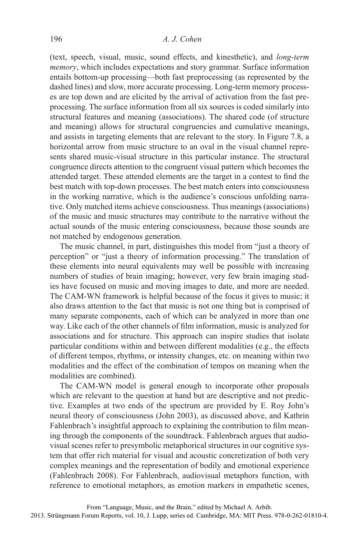(text, speech, visual, music, sound effects, and kinesthetic), and *long-term memory*, which includes expectations and story grammar. Surface information entails bottom-up processing—both fast preprocessing (as represented by the dashed lines) and slow, more accurate processing. Long-term memory processes are top down and are elicited by the arrival of activation from the fast preprocessing. The surface information from all six sources is coded similarly into structural features and meaning (associations). The shared code (of structure and meaning) allows for structural congruencies and cumulative meanings, and assists in targeting elements that are relevant to the story. In Figure 7.8, a horizontal arrow from music structure to an oval in the visual channel represents shared music-visual structure in this particular instance. The structural congruence directs attention to the congruent visual pattern which becomes the attended target. These attended elements are the target in a contest to find the best match with top-down processes. The best match enters into consciousness in the working narrative, which is the audience's conscious unfolding narrative. Only matched items achieve consciousness. Thus meanings (associations) of the music and music structures may contribute to the narrative without the actual sounds of the music entering consciousness, because those sounds are not matched by endogenous generation.

The music channel, in part, distinguishes this model from "just a theory of perception" or "just a theory of information processing." The translation of these elements into neural equivalents may well be possible with increasing numbers of studies of brain imaging; however, very few brain imaging studies have focused on music and moving images to date, and more are needed. The CAM-WN framework is helpful because of the focus it gives to music; it also draws attention to the fact that music is not one thing but is comprised of many separate components, each of which can be analyzed in more than one way. Like each of the other channels of film information, music is analyzed for associations and for structure. This approach can inspire studies that isolate particular conditions within and between different modalities (e.g., the effects of different tempos, rhythms, or intensity changes, etc. on meaning within two modalities and the effect of the combination of tempos on meaning when the modalities are combined).

The CAM-WN model is general enough to incorporate other proposals which are relevant to the question at hand but are descriptive and not predictive. Examples at two ends of the spectrum are provided by E. Roy John's neural theory of consciousness (John 2003), as discussed above, and Kathrin Fahlenbrach's insightful approach to explaining the contribution to film meaning through the components of the soundtrack. Fahlenbrach argues that audiovisual scenes refer to presymbolic metaphorical structures in our cognitive system that offer rich material for visual and acoustic concretization of both very complex meanings and the representation of bodily and emotional experience (Fahlenbrach 2008). For Fahlenbrach, audiovisual metaphors function, with reference to emotional metaphors, as emotion markers in empathetic scenes,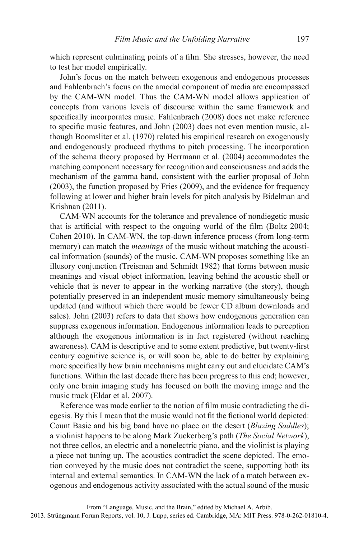which represent culminating points of a film. She stresses, however, the need to test her model empirically.

John's focus on the match between exogenous and endogenous processes and Fahlenbrach's focus on the amodal component of media are encompassed by the CAM-WN model. Thus the CAM-WN model allows application of concepts from various levels of discourse within the same framework and specifically incorporates music. Fahlenbrach (2008) does not make reference to specific music features, and John (2003) does not even mention music, although Boomsliter et al. (1970) related his empirical research on exogenously and endogenously produced rhythms to pitch processing. The incorporation of the schema theory proposed by Herrmann et al. (2004) accommodates the matching component necessary for recognition and consciousness and adds the mechanism of the gamma band, consistent with the earlier proposal of John (2003), the function proposed by Fries (2009), and the evidence for frequency following at lower and higher brain levels for pitch analysis by Bidelman and Krishnan (2011).

CAM-WN accounts for the tolerance and prevalence of nondiegetic music that is artificial with respect to the ongoing world of the film (Boltz 2004; Cohen 2010). In CAM-WN, the top-down inference process (from long-term memory) can match the *meanings* of the music without matching the acoustical information (sounds) of the music. CAM-WN proposes something like an illusory conjunction (Treisman and Schmidt 1982) that forms between music meanings and visual object information, leaving behind the acoustic shell or vehicle that is never to appear in the working narrative (the story), though potentially preserved in an independent music memory simultaneously being updated (and without which there would be fewer CD album downloads and sales). John (2003) refers to data that shows how endogenous generation can suppress exogenous information. Endogenous information leads to perception although the exogenous information is in fact registered (without reaching awareness). CAM is descriptive and to some extent predictive, but twenty-first century cognitive science is, or will soon be, able to do better by explaining more specifically how brain mechanisms might carry out and elucidate CAM's functions. Within the last decade there has been progress to this end; however, only one brain imaging study has focused on both the moving image and the music track (Eldar et al. 2007).

Reference was made earlier to the notion of film music contradicting the diegesis. By this I mean that the music would not fit the fictional world depicted: Count Basie and his big band have no place on the desert *(Blazing Saddles)*; a violinist happens to be along Mark Zuckerberg's path (*The Social Network*), not three cellos, an electric and a nonelectric piano, and the violinist is playing a piece not tuning up. The acoustics contradict the scene depicted. The emotion conveyed by the music does not contradict the scene, supporting both its internal and external semantics. In CAM-WN the lack of a match between exogenous and endogenous activity associated with the actual sound of the music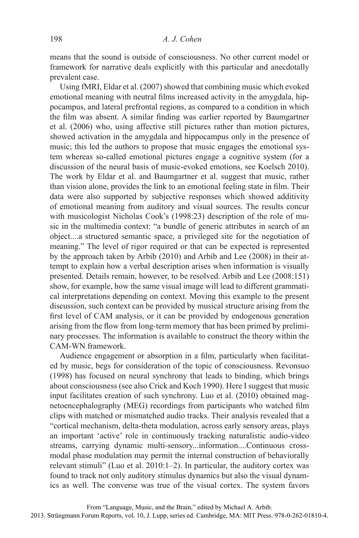means that the sound is outside of consciousness. No other current model or framework for narrative deals explicitly with this particular and anecdotally prevalent case.

Using fMRI, Eldar et al. (2007) showed that combining music which evoked emotional meaning with neutral films increased activity in the amygdala, hippocampus, and lateral prefrontal regions, as compared to a condition in which the film was absent. A similar finding was earlier reported by Baumgartner et al. (2006) who, using affective still pictures rather than motion pictures, showed activation in the amygdala and hippocampus only in the presence of music; this led the authors to propose that music engages the emotional system whereas so-called emotional pictures engage a cognitive system (for a discussion of the neural basis of music-evoked emotions, see Koelsch 2010). The work by Eldar et al. and Baumgartner et al. suggest that music, rather than vision alone, provides the link to an emotional feeling state in film. Their data were also supported by subjective responses which showed additivity of emotional meaning from auditory and visual sources. The results concur with musicologist Nicholas Cook's (1998:23) description of the role of music in the multimedia context: "a bundle of generic attributes in search of an object....a structured semantic space, a privileged site for the negotiation of meaning." The level of rigor required or that can be expected is represented by the approach taken by Arbib (2010) and Arbib and Lee (2008) in their attempt to explain how a verbal description arises when information is visually presented. Details remain, however, to be resolved. Arbib and Lee (2008:151) show, for example, how the same visual image will lead to different grammatical interpretations depending on context. Moving this example to the present discussion, such context can be provided by musical structure arising from the first level of CAM analysis, or it can be provided by endogenous generation arising from the flow from long-term memory that has been primed by preliminary processes. The information is available to construct the theory within the CAM-WN framework.

Audience engagement or absorption in a film, particularly when facilitated by music, begs for consideration of the topic of consciousness. Revonsuo (1998) has focused on neural synchrony that leads to binding, which brings about consciousness (see also Crick and Koch 1990). Here I suggest that music input facilitates creation of such synchrony. Luo et al. (2010) obtained magnetoencephalography (MEG) recordings from participants who watched film clips with matched or mismatched audio tracks. Their analysis revealed that a "cortical mechanism, delta-theta modulation, across early sensory areas, plays an important 'active' role in continuously tracking naturalistic audio-video streams, carrying dynamic multi-sensory...information....Continuous crossmodal phase modulation may permit the internal construction of behaviorally relevant stimuli" (Luo et al. 2010:1–2). In particular, the auditory cortex was found to track not only auditory stimulus dynamics but also the visual dynamics as well. The converse was true of the visual cortex. The system favors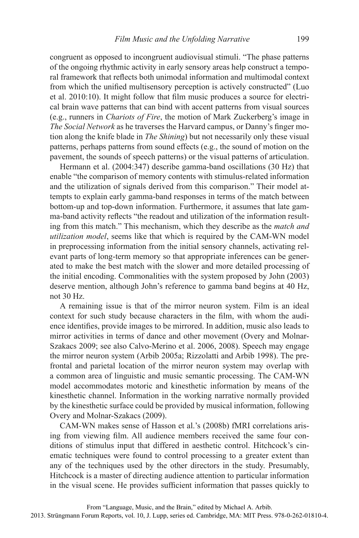congruent as opposed to incongruent audiovisual stimuli. "The phase patterns of the ongoing rhythmic activity in early sensory areas help construct a temporal framework that reflects both unimodal information and multimodal context from which the unified multisensory perception is actively constructed" (Luo et al. 2010:10). It might follow that film music produces a source for electrical brain wave patterns that can bind with accent patterns from visual sources (e.g., runners in *Chariots of Fire*, the motion of Mark Zuckerberg's image in *The Social Network* as he traverses the Harvard campus, or Danny's finger motion along the knife blade in *The Shining*) but not necessarily only these visual patterns, perhaps patterns from sound effects (e.g., the sound of motion on the pavement, the sounds of speech patterns) or the visual patterns of articulation.

Hermann et al. (2004:347) describe gamma-band oscillations (30 Hz) that enable "the comparison of memory contents with stimulus-related information and the utilization of signals derived from this comparison." Their model attempts to explain early gamma-band responses in terms of the match between bottom-up and top-down information. Furthermore, it assumes that late gamma-band activity reflects "the readout and utilization of the information resulting from this match." This mechanism, which they describe as the *match and utilization model*, seems like that which is required by the CAM-WN model in preprocessing information from the initial sensory channels, activating relevant parts of long-term memory so that appropriate inferences can be generated to make the best match with the slower and more detailed processing of the initial encoding. Commonalities with the system proposed by John (2003) deserve mention, although John's reference to gamma band begins at 40 Hz, not 30 Hz.

A remaining issue is that of the mirror neuron system. Film is an ideal context for such study because characters in the film, with whom the audience identifies, provide images to be mirrored. In addition, music also leads to mirror activities in terms of dance and other movement (Overy and Molnar-Szakacs 2009; see also Calvo-Merino et al. 2006, 2008). Speech may engage the mirror neuron system (Arbib 2005a; Rizzolatti and Arbib 1998). The prefrontal and parietal location of the mirror neuron system may overlap with a common area of linguistic and music semantic processing. The CAM-WN model accommodates motoric and kinesthetic information by means of the kinesthetic channel. Information in the working narrative normally provided by the kinesthetic surface could be provided by musical information, following Overy and Molnar-Szakacs (2009).

CAM-WN makes sense of Hasson et al.'s (2008b) fMRI correlations arising from viewing film. All audience members received the same four conditions of stimulus input that differed in aesthetic control. Hitchcock's cinematic techniques were found to control processing to a greater extent than any of the techniques used by the other directors in the study. Presumably, Hitchcock is a master of directing audience attention to particular information in the visual scene. He provides sufficient information that passes quickly to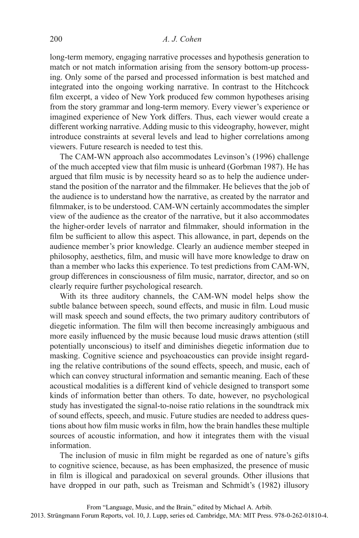long-term memory, engaging narrative processes and hypothesis generation to match or not match information arising from the sensory bottom-up processing. Only some of the parsed and processed information is best matched and integrated into the ongoing working narrative. In contrast to the Hitchcock film excerpt, a video of New York produced few common hypotheses arising from the story grammar and long-term memory. Every viewer's experience or imagined experience of New York differs. Thus, each viewer would create a different working narrative. Adding music to this videography, however, might introduce constraints at several levels and lead to higher correlations among viewers. Future research is needed to test this.

The CAM-WN approach also accommodates Levinson's (1996) challenge of the much accepted view that film music is unheard (Gorbman 1987). He has argued that film music is by necessity heard so as to help the audience understand the position of the narrator and the filmmaker. He believes that the job of the audience is to understand how the narrative, as created by the narrator and filmmaker, is to be understood. CAM-WN certainly accommodates the simpler view of the audience as the creator of the narrative, but it also accommodates the higher-order levels of narrator and filmmaker, should information in the film be sufficient to allow this aspect. This allowance, in part, depends on the audience member's prior knowledge. Clearly an audience member steeped in philosophy, aesthetics, film, and music will have more knowledge to draw on than a member who lacks this experience. To test predictions from CAM-WN, group differences in consciousness of film music, narrator, director, and so on clearly require further psychological research.

With its three auditory channels, the CAM-WN model helps show the subtle balance between speech, sound effects, and music in film. Loud music will mask speech and sound effects, the two primary auditory contributors of diegetic information. The film will then become increasingly ambiguous and more easily influenced by the music because loud music draws attention (still potentially unconscious) to itself and diminishes diegetic information due to masking. Cognitive science and psychoacoustics can provide insight regarding the relative contributions of the sound effects, speech, and music, each of which can convey structural information and semantic meaning. Each of these acoustical modalities is a different kind of vehicle designed to transport some kinds of information better than others. To date, however, no psychological study has investigated the signal-to-noise ratio relations in the soundtrack mix of sound effects, speech, and music. Future studies are needed to address questions about how film music works in film, how the brain handles these multiple sources of acoustic information, and how it integrates them with the visual information.

The inclusion of music in film might be regarded as one of nature's gifts to cognitive science, because, as has been emphasized, the presence of music in film is illogical and paradoxical on several grounds. Other illusions that have dropped in our path, such as Treisman and Schmidt's (1982) illusory